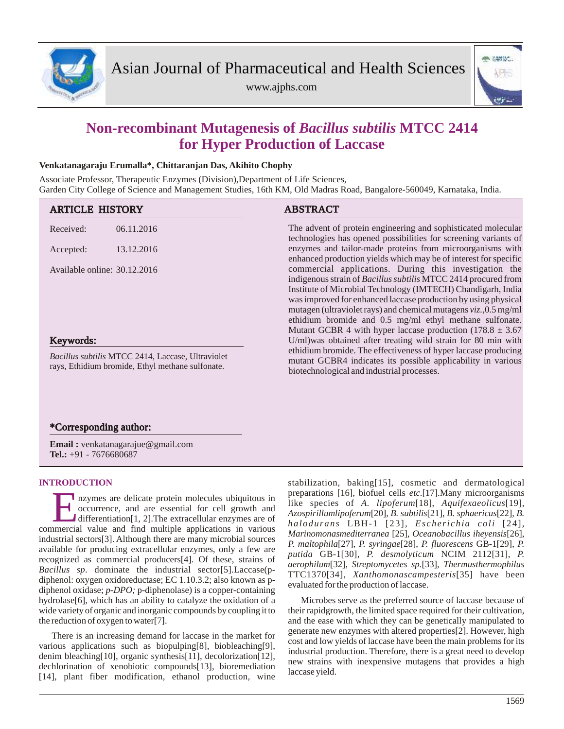

www.ajphs.com



# **Non-recombinant Mutagenesis of** *Bacillus subtilis* **MTCC 2414 for Hyper Production of Laccase**

## **Venkatanagaraju Erumalla\*, Chittaranjan Das, Akihito Chophy**

Associate Professor, Therapeutic Enzymes (Division),Department of Life Sciences, Garden City College of Science and Management Studies, 16th KM, Old Madras Road, Bangalore-560049, Karnataka, India.

| <b>ARTICLE HISTORY</b>                                                                                       |            | <b>ABSTRACT</b>                                                                                                                                                                                                                                                                                                                                                                                                                                             |
|--------------------------------------------------------------------------------------------------------------|------------|-------------------------------------------------------------------------------------------------------------------------------------------------------------------------------------------------------------------------------------------------------------------------------------------------------------------------------------------------------------------------------------------------------------------------------------------------------------|
| Received:                                                                                                    | 06.11.2016 | The advent of protein engineering and sophisticated molecular<br>technologies has opened possibilities for screening variants of<br>enzymes and tailor-made proteins from microorganisms with<br>enhanced production yields which may be of interest for specific                                                                                                                                                                                           |
| Accepted:                                                                                                    | 13.12.2016 |                                                                                                                                                                                                                                                                                                                                                                                                                                                             |
| Available online: 30.12.2016                                                                                 |            | commercial applications. During this investigation the<br>indigenous strain of Bacillus subtilis MTCC 2414 procured from<br>Institute of Microbial Technology (IMTECH) Chandigarh, India<br>was improved for enhanced laccase production by using physical<br>mutagen (ultraviolet rays) and chemical mutagens $viz.0.5$ mg/ml<br>ethidium bromide and 0.5 mg/ml ethyl methane sulfonate.<br>Mutant GCBR 4 with hyper laccase production $(178.8 \pm 3.67)$ |
| Keywords:                                                                                                    |            | U/ml)was obtained after treating wild strain for 80 min with                                                                                                                                                                                                                                                                                                                                                                                                |
| <i>Bacillus subtilis</i> MTCC 2414, Laccase, Ultraviolet<br>rays, Ethidium bromide, Ethyl methane sulfonate. |            | ethidium bromide. The effectiveness of hyper laccase producing<br>mutant GCBR4 indicates its possible applicability in various<br>biotechnological and industrial processes.                                                                                                                                                                                                                                                                                |

# \*Corresponding author:

**Email :** venkatanagarajue@gmail.com **Tel.:** +91 - 7676680687

# **INTRODUCTION**

**EXECUTE:** The axis are delicate protein molecules ubiquitous in occurrence, and are essential for cell growth and differentiation[1, 2]. The extracellular enzymes are of commercial value and find multiple applications in nzymes are delicate protein molecules ubiquitous in occurrence, and are essential for cell growth and differentiation[1, 2].The extracellular enzymes are of industrial sectors[3]. Although there are many microbial sources available for producing extracellular enzymes, only a few are recognized as commercial producers[4]. Of these, strains of *Bacillus sp*. dominate the industrial sector[5].Laccase(pdiphenol: oxygen oxidoreductase; EC 1.10.3.2; also known as pdiphenol oxidase; *p-DPO;* p-diphenolase) is a copper-containing hydrolase<sup>[6]</sup>, which has an ability to catalyze the oxidation of a wide variety of organic and inorganic compounds by coupling it to the reduction of oxygen to water[7].

There is an increasing demand for laccase in the market for various applications such as biopulping[8], biobleaching[9], denim bleaching[10], organic synthesis[11], decolorization[12], dechlorination of xenobiotic compounds[13], bioremediation [14], plant fiber modification, ethanol production, wine

stabilization, baking[15], cosmetic and dermatological preparations [16], biofuel cells *etc*.[17].Many microorganisms like species of *A. lipoferum*[18], *Aquifexaeolicus*[19], *Azospirillumlipoferum*[20], *B. subtilis*[21], *B. sphaericus*[22], *B. halodurans* LBH-1 [23], *Es che ri chia coli* [24], *Marinomonasmediterranea* [25], *Oceanobacillus iheyensis*[26], *P. maltophila*[27], *P. syringae*[28], *P. fluorescens* GB-1[29], *P. putida* GB-1[30], *P. desmolyticum* NCIM 2112[31], *P. aerophilum*[32], *Streptomycetes sp.*[33], *Thermusthermophilus* TTC1370[34], *Xanthomonascampesteris*[35] have been evaluated for the production of laccase.

Microbes serve as the preferred source of laccase because of their rapidgrowth, the limited space required for their cultivation, and the ease with which they can be genetically manipulated to generate new enzymes with altered properties[2]. However, high cost and low yields of laccase have been the main problems for its industrial production. Therefore, there is a great need to develop new strains with inexpensive mutagens that provides a high laccase yield.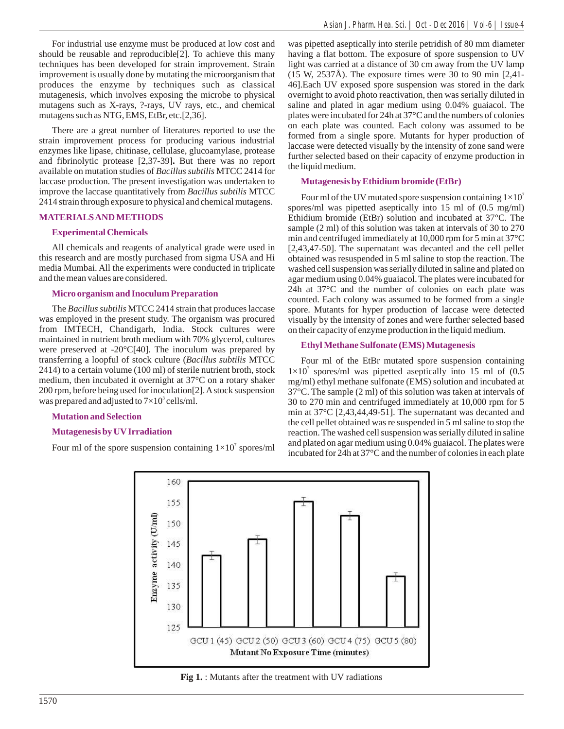For industrial use enzyme must be produced at low cost and should be reusable and reproducible[2]. To achieve this many techniques has been developed for strain improvement. Strain improvement is usually done by mutating the microorganism that produces the enzyme by techniques such as classical mutagenesis, which involves exposing the microbe to physical mutagens such as X-rays, ?-rays, UV rays, etc., and chemical mutagens such as NTG, EMS, EtBr, etc.[2,36].

There are a great number of literatures reported to use the strain improvement process for producing various industrial enzymes like lipase, chitinase, cellulase, glucoamylase, protease and fibrinolytic protease [2,37-39]**.** But there was no report available on mutation studies of *Bacillus subtilis* MTCC 2414 for laccase production. The present investigation was undertaken to improve the laccase quantitatively from *Bacillus subtilis* MTCC 2414 strain through exposure to physical and chemical mutagens.

## **MATERIALS AND METHODS**

## **Experimental Chemicals**

All chemicals and reagents of analytical grade were used in this research and are mostly purchased from sigma USA and Hi media Mumbai. All the experiments were conducted in triplicate and the mean values are considered.

## **Micro organism and Inoculum Preparation**

The *Bacillus subtilis* MTCC 2414 strain that produces laccase was employed in the present study. The organism was procured from IMTECH, Chandigarh, India. Stock cultures were maintained in nutrient broth medium with 70% glycerol, cultures were preserved at -20°C[40]. The inoculum was prepared by transferring a loopful of stock culture (*Bacillus subtilis* MTCC 2414) to a certain volume (100 ml) of sterile nutrient broth, stock medium, then incubated it overnight at 37°C on a rotary shaker 200 rpm, before being used for inoculation[2]. Astock suspension was prepared and adjusted to  $7\times10^3$  cells/ml.

#### **Mutation and Selection**

## **Mutagenesis by UVIrradiation**

Four ml of the spore suspension containing  $1 \times 10^7$  spores/ml

was pipetted aseptically into sterile petridish of 80 mm diameter having a flat bottom. The exposure of spore suspension to UV light was carried at a distance of 30 cm away from the UV lamp (15 W, 2537Å). The exposure times were 30 to 90 min [2,41- 46].Each UV exposed spore suspension was stored in the dark overnight to avoid photo reactivation, then was serially diluted in saline and plated in agar medium using 0.04% guaiacol. The plates were incubated for 24h at 37°C and the numbers of colonies on each plate was counted. Each colony was assumed to be formed from a single spore. Mutants for hyper production of laccase were detected visually by the intensity of zone sand were further selected based on their capacity of enzyme production in the liquid medium.

## **Mutagenesis by Ethidium bromide (EtBr)**

Four ml of the UV mutated spore suspension containing  $1\times10^7$ spores/ml was pipetted aseptically into 15 ml of (0.5 mg/ml) Ethidium bromide (EtBr) solution and incubated at 37°C. The sample (2 ml) of this solution was taken at intervals of 30 to 270 min and centrifuged immediately at 10,000 rpm for 5 min at 37°C [2,43,47-50]. The supernatant was decanted and the cell pellet obtained was resuspended in 5 ml saline to stop the reaction. The washed cell suspension was serially diluted in saline and plated on agar medium using 0.04% guaiacol. The plates were incubated for 24h at 37°C and the number of colonies on each plate was counted. Each colony was assumed to be formed from a single spore. Mutants for hyper production of laccase were detected visually by the intensity of zones and were further selected based on their capacity of enzyme production in the liquid medium.

## **Ethyl Methane Sulfonate (EMS) Mutagenesis**

Four ml of the EtBr mutated spore suspension containing  $1 \times 10^7$  spores/ml was pipetted aseptically into 15 ml of (0.5) mg/ml) ethyl methane sulfonate (EMS) solution and incubated at 37°C. The sample (2 ml) of this solution was taken at intervals of 30 to 270 min and centrifuged immediately at 10,000 rpm for 5 min at 37°C [2,43,44,49-51]. The supernatant was decanted and the cell pellet obtained was re suspended in 5 ml saline to stop the reaction. The washed cell suspension was serially diluted in saline and plated on agar medium using 0.04% guaiacol. The plates were incubated for 24h at 37°C and the number of colonies in each plate



**Fig 1.** : Mutants after the treatment with UV radiations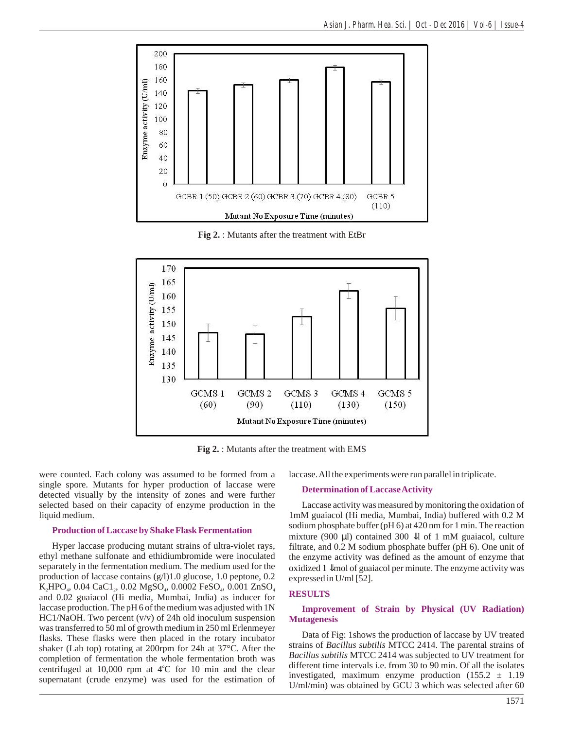

**Fig 2.** : Mutants after the treatment with EtBr



**Fig 2.** : Mutants after the treatment with EMS

were counted. Each colony was assumed to be formed from a single spore. Mutants for hyper production of laccase were detected visually by the intensity of zones and were further selected based on their capacity of enzyme production in the liquid medium.

#### **Production of Laccase by Shake Flask Fermentation**

Hyper laccase producing mutant strains of ultra-violet rays, ethyl methane sulfonate and ethidiumbromide were inoculated separately in the fermentation medium. The medium used for the production of laccase contains (g/l)1.0 glucose, 1.0 peptone, 0.2 K<sub>2</sub>HPO<sub>4</sub>, 0.04 CaC1<sub>2</sub>, 0.02 MgSO<sub>4</sub>, 0.0002 FeSO<sub>4</sub>, 0.001 ZnSO<sub>4</sub> and 0.02 guaiacol (Hi media, Mumbai, India) as inducer for laccase production. The pH 6 of the medium was adjusted with 1N HC1/NaOH. Two percent (v/v) of 24h old inoculum suspension was transferred to 50 ml of growth medium in 250 ml Erlenmeyer flasks. These flasks were then placed in the rotary incubator shaker (Lab top) rotating at 200rpm for 24h at 37°C. After the completion of fermentation the whole fermentation broth was centrifuged at 10,000 rpm at 4°C for 10 min and the clear supernatant (crude enzyme) was used for the estimation of

laccase. All the experiments were run parallel in triplicate.

#### **Determination of Laccase Activity**

Laccase activity was measured by monitoring the oxidation of 1mM guaiacol (Hi media, Mumbai, India) buffered with 0.2 M sodium phosphate buffer (pH 6) at 420 nm for 1 min. The reaction mixture (900 μl) contained 300 l of 1 mM guaiacol, culture filtrate, and 0.2 M sodium phosphate buffer (pH 6). One unit of the enzyme activity was defined as the amount of enzyme that oxidized 1 mol of guaiacol per minute. The enzyme activity was expressed in U/ml [52].

#### **RESULTS**

## **Improvement of Strain by Physical (UV Radiation) Mutagenesis**

Data of Fig: 1shows the production of laccase by UV treated strains of *Bacillus subtilis* MTCC 2414. The parental strains of *Bacillus subtilis* MTCC 2414 was subjected to UV treatment for different time intervals i.e. from 30 to 90 min. Of all the isolates investigated, maximum enzyme production  $(155.2 \pm 1.19)$ U/ml/min) was obtained by GCU 3 which was selected after 60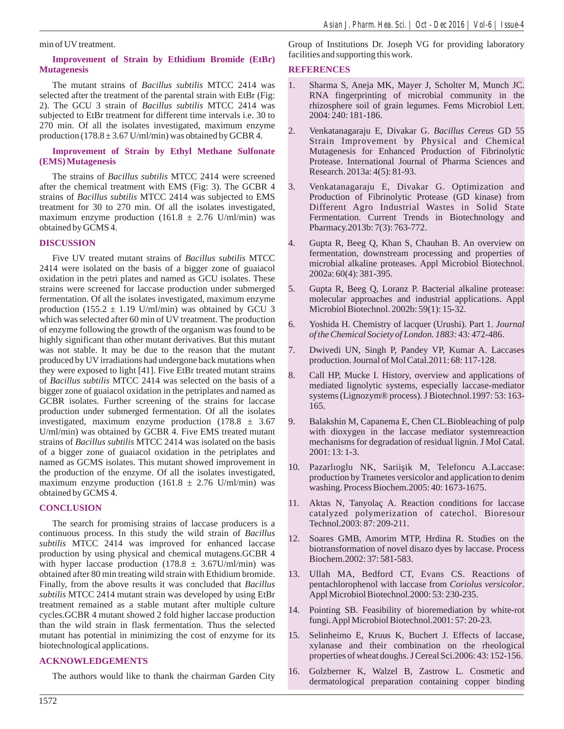min of UV treatment.

## **Improvement of Strain by Ethidium Bromide (EtBr) Mutagenesis**

The mutant strains of *Bacillus subtilis* MTCC 2414 was selected after the treatment of the parental strain with EtBr (Fig: 2). The GCU 3 strain of *Bacillus subtilis* MTCC 2414 was subjected to EtBr treatment for different time intervals i.e. 30 to 270 min. Of all the isolates investigated, maximum enzyme production  $(178.8 \pm 3.67 \text{ U/ml/min})$  was obtained by GCBR 4.

## **Improvement of Strain by Ethyl Methane Sulfonate (EMS) Mutagenesis**

The strains of *Bacillus subtilis* MTCC 2414 were screened after the chemical treatment with EMS (Fig: 3). The GCBR 4 strains of *Bacillus subtilis* MTCC 2414 was subjected to EMS treatment for 30 to 270 min. Of all the isolates investigated, maximum enzyme production (161.8  $\pm$  2.76 U/ml/min) was obtained by GCMS 4.

## **DISCUSSION**

Five UV treated mutant strains of *Bacillus subtilis* MTCC 2414 were isolated on the basis of a bigger zone of guaiacol oxidation in the petri plates and named as GCU isolates. These strains were screened for laccase production under submerged fermentation. Of all the isolates investigated, maximum enzyme production (155.2  $\pm$  1.19 U/ml/min) was obtained by GCU 3 which was selected after 60 min of UV treatment. The production of enzyme following the growth of the organism was found to be highly significant than other mutant derivatives. But this mutant was not stable. It may be due to the reason that the mutant produced by UV irradiations had undergone back mutations when they were exposed to light [41]. Five EtBr treated mutant strains of *Bacillus subtilis* MTCC 2414 was selected on the basis of a bigger zone of guaiacol oxidation in the petriplates and named as GCBR isolates. Further screening of the strains for laccase production under submerged fermentation. Of all the isolates investigated, maximum enzyme production  $(178.8 \pm 3.67)$ U/ml/min) was obtained by GCBR 4. Five EMS treated mutant strains of *Bacillus subtilis* MTCC 2414 was isolated on the basis of a bigger zone of guaiacol oxidation in the petriplates and named as GCMS isolates. This mutant showed improvement in the production of the enzyme. Of all the isolates investigated, maximum enzyme production (161.8  $\pm$  2.76 U/ml/min) was obtained by GCMS 4.

## **CONCLUSION**

The search for promising strains of laccase producers is a continuous process. In this study the wild strain of *Bacillus subtilis* MTCC 2414 was improved for enhanced laccase production by using physical and chemical mutagens.GCBR 4 with hyper laccase production  $(178.8 \pm 3.67$ U/ml/min) was obtained after 80 min treating wild strain with Ethidium bromide. Finally, from the above results it was concluded that *Bacillus subtilis* MTCC 2414 mutant strain was developed by using EtBr treatment remained as a stable mutant after multiple culture cycles.GCBR 4 mutant showed 2 fold higher laccase production than the wild strain in flask fermentation. Thus the selected mutant has potential in minimizing the cost of enzyme for its biotechnological applications.

## **ACKNOWLEDGEMENTS**

The authors would like to thank the chairman Garden City

Group of Institutions Dr. Joseph VG for providing laboratory facilities and supporting this work.

## **REFERENCES**

- 1. Sharma S, Aneja MK, Mayer J, Scholter M, Munch JC. RNA fingerprinting of microbial community in the rhizosphere soil of grain legumes. Fems Microbiol Lett. 2004: 240: 181-186.
- 2. Venkatanagaraju E, Divakar G. *Bacillus Cereus* GD 55 Strain Improvement by Physical and Chemical Mutagenesis for Enhanced Production of Fibrinolytic Protease. International Journal of Pharma Sciences and Research. 2013a: 4(5): 81-93.
- 3. Venkatanagaraju E, Divakar G. Optimization and Production of Fibrinolytic Protease (GD kinase) from Different Agro Industrial Wastes in Solid State Fermentation. Current Trends in Biotechnology and Pharmacy.2013b: 7(3): 763-772.
- 4. Gupta R, Beeg Q, Khan S, Chauhan B. An overview on fermentation, downstream processing and properties of microbial alkaline proteases. Appl Microbiol Biotechnol. 2002a: 60(4): 381-395.
- 5. Gupta R, Beeg Q, Loranz P. Bacterial alkaline protease: molecular approaches and industrial applications. Appl Microbiol Biotechnol. 2002b: 59(1): 15-32.
- 6. Yoshida H. Chemistry of lacquer (Urushi). Part 1. *Journal of the Chemical Society of London. 1883:* 43: 472-486.
- 7. Dwivedi UN, Singh P, Pandey VP, Kumar A. Laccases production. Journal of Mol Catal.2011: 68: 117-128.
- 8. Call HP, Mucke I. History, overview and applications of mediated lignolytic systems, especially laccase-mediator systems (Lignozym® process). J Biotechnol.1997: 53: 163- 165.
- 9. Balakshin M, Capanema E, Chen CL.Biobleaching of pulp with dioxygen in the laccase mediator systemreaction mechanisms for degradation of residual lignin. J Mol Catal. 2001: 13: 1-3.
- 10. Pazarlıoglu NK, Sarii ik M, Telefoncu A.Laccase: production by Trametes versicolor and application to denim washing. Process Biochem.2005: 40: 1673-1675.
- 11. Aktas N, Tanyolaç A. Reaction conditions for laccase catalyzed polymerization of catechol. Bioresour Technol.2003: 87: 209-211.
- 12. Soares GMB, Amorim MTP, Hrdina R. Studies on the biotransformation of novel disazo dyes by laccase. Process Biochem.2002: 37: 581-583.
- 13. Ullah MA, Bedford CT, Evans CS. Reactions of pentachlorophenol with laccase from *Coriolus versicolor*. Appl Microbiol Biotechnol.2000: 53: 230-235.
- 14. Pointing SB. Feasibility of bioremediation by white-rot fungi. Appl Microbiol Biotechnol.2001: 57: 20-23.
- 15. Selinheimo E, Kruus K, Buchert J. Effects of laccase, xylanase and their combination on the rheological properties of wheat doughs. J Cereal Sci.2006: 43: 152-156.
- 16. Golzberner K, Walzel B, Zastrow L. Cosmetic and dermatological preparation containing copper binding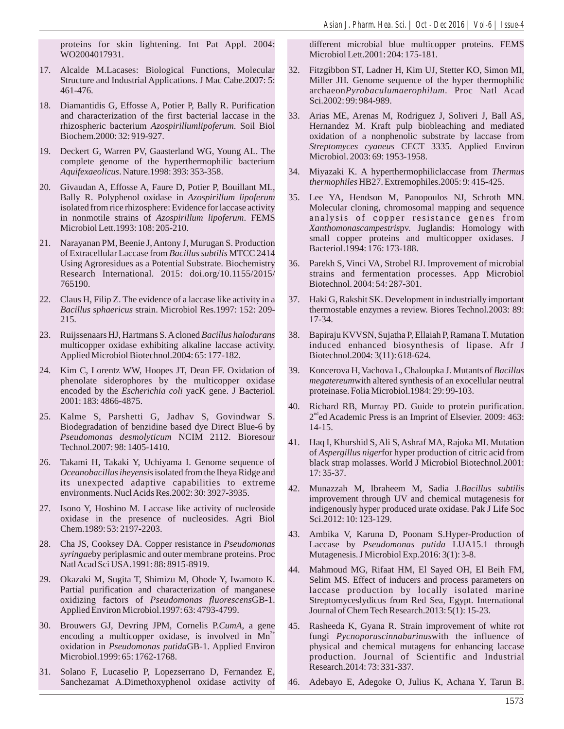proteins for skin lightening. Int Pat Appl. 2004: WO2004017931.

- 17. Alcalde M.Lacases: Biological Functions, Molecular Structure and Industrial Applications. J Mac Cabe.2007: 5: 461-476.
- 18. Diamantidis G, Effosse A, Potier P, Bally R. Purification and characterization of the first bacterial laccase in the rhizospheric bacterium *Azospirillumlipoferum*. Soil Biol Biochem.2000: 32: 919-927.
- 19. Deckert G, Warren PV, Gaasterland WG, Young AL. The complete genome of the hyperthermophilic bacterium *Aquifexaeolicus*. Nature.1998: 393: 353-358.
- 20. Givaudan A, Effosse A, Faure D, Potier P, Bouillant ML, Bally R. Polyphenol oxidase in *Azospirillum lipoferum* isolated from rice rhizosphere: Evidence for laccase activity in nonmotile strains of *Azospirillum lipoferum*. FEMS Microbiol Lett.1993: 108: 205-210.
- 21. Narayanan PM, Beenie J, Antony J, Murugan S. Production of Extracellular Laccase from *Bacillus subtilis* MTCC 2414 Using Agroresidues as a Potential Substrate. Biochemistry Research International. 2015: doi.org/10.1155/2015/ 765190.
- 22. Claus H, Filip Z. The evidence of a laccase like activity in a *Bacillus sphaericus* strain. Microbiol Res.1997: 152: 209- 215.
- 23. Ruijssenaars HJ, Hartmans S. Acloned *Bacillus halodurans* multicopper oxidase exhibiting alkaline laccase activity. Applied Microbiol Biotechnol.2004: 65: 177-182.
- 24. Kim C, Lorentz WW, Hoopes JT, Dean FF. Oxidation of phenolate siderophores by the multicopper oxidase encoded by the *Escherichia coli* yacK gene. J Bacteriol. 2001: 183: 4866-4875.
- 25. Kalme S, Parshetti G, Jadhav S, Govindwar S. Biodegradation of benzidine based dye Direct Blue-6 by *Pseudomonas desmolyticum* NCIM 2112. Bioresour Technol.2007: 98: 1405-1410.
- 26. Takami H, Takaki Y, Uchiyama I. Genome sequence of *Oceanobacillus iheyensis*isolated from the Iheya Ridge and its unexpected adaptive capabilities to extreme environments. Nucl Acids Res.2002: 30: 3927-3935.
- 27. Isono Y, Hoshino M. Laccase like activity of nucleoside oxidase in the presence of nucleosides. Agri Biol Chem.1989: 53: 2197-2203.
- 28. Cha JS, Cooksey DA. Copper resistance in *Pseudomonas syringae*by periplasmic and outer membrane proteins. Proc Natl Acad Sci USA.1991: 88: 8915-8919.
- 29. Okazaki M, Sugita T, Shimizu M, Ohode Y, Iwamoto K. Partial purification and characterization of manganese oxidizing factors of *Pseudomonas fluorescens*GB-1. Applied Environ Microbiol.1997: 63: 4793-4799.
- 30. Brouwers GJ, Devring JPM, Cornelis P.*CumA*, a gene encoding a multicopper oxidase, is involved in  $Mn^{2+}$ oxidation in *Pseudomonas putida*GB-1. Applied Environ Microbiol.1999: 65: 1762-1768.
- 31. Solano F, Lucaselio P, Lopezserrano D, Fernandez E, Sanchezamat A.Dimethoxyphenol oxidase activity of

different microbial blue multicopper proteins. FEMS Microbiol Lett.2001: 204: 175-181.

- 32. Fitzgibbon ST, Ladner H, Kim UJ, Stetter KO, Simon MI, Miller JH. Genome sequence of the hyper thermophilic archaeon*Pyrobaculumaerophilum*. Proc Natl Acad Sci.2002: 99: 984-989.
- 33. Arias ME, Arenas M, Rodriguez J, Soliveri J, Ball AS, Hernandez M. Kraft pulp biobleaching and mediated oxidation of a nonphenolic substrate by laccase from *Streptomyces cyaneus* CECT 3335. Applied Environ Microbiol. 2003: 69: 1953-1958.
- 34. Miyazaki K. A hyperthermophiliclaccase from *Thermus thermophiles* HB27. Extremophiles.2005: 9: 415-425.
- 35. Lee YA, Hendson M, Panopoulos NJ, Schroth MN. Molecular cloning, chromosomal mapping and sequence analysis of copper resistance genes from *Xanthomonascampestris*pv. Juglandis: Homology with small copper proteins and multicopper oxidases. J Bacteriol.1994: 176: 173-188.
- 36. Parekh S, Vinci VA, Strobel RJ. Improvement of microbial strains and fermentation processes. App Microbiol Biotechnol. 2004: 54: 287-301.
- 37. Haki G, Rakshit SK. Development in industrially important thermostable enzymes a review. Biores Technol.2003: 89: 17-34.
- 38. Bapiraju KVVSN, Sujatha P, Ellaiah P, Ramana T. Mutation induced enhanced biosynthesis of lipase. Afr J Biotechnol.2004: 3(11): 618-624.
- 39. Koncerova H, Vachova L, Chaloupka J. Mutants of *Bacillus megatereum*with altered synthesis of an exocellular neutral proteinase. Folia Microbiol.1984: 29: 99-103.
- 40. Richard RB, Murray PD. Guide to protein purification.  $2<sup>nd</sup>$ ed Academic Press is an Imprint of Elsevier. 2009: 463: 14-15.
- 41. Haq I, Khurshid S, Ali S, Ashraf MA, Rajoka MI. Mutation of *Aspergillus niger*for hyper production of citric acid from black strap molasses. World J Microbiol Biotechnol.2001: 17: 35-37.
- 42. Munazzah M, Ibraheem M, Sadia J.*Bacillus subtilis*  improvement through UV and chemical mutagenesis for indigenously hyper produced urate oxidase. Pak J Life Soc Sci.2012: 10: 123-129.
- 43. Ambika V, Karuna D, Poonam S.Hyper-Production of Laccase by *Pseudomonas putida* LUA15.1 through Mutagenesis. J Microbiol Exp.2016: 3(1): 3-8.
- 44. Mahmoud MG, Rifaat HM, El Sayed OH, El Beih FM, Selim MS. Effect of inducers and process parameters on laccase production by locally isolated marine Streptomyceslydicus from Red Sea, Egypt. International Journal of Chem Tech Research.2013: 5(1): 15-23.
- 45. Rasheeda K, Gyana R. Strain improvement of white rot fungi *Pycnoporuscinnabarinus*with the influence of physical and chemical mutagens for enhancing laccase production. Journal of Scientific and Industrial Research.2014: 73: 331-337.
- 46. Adebayo E, Adegoke O, Julius K, Achana Y, Tarun B.